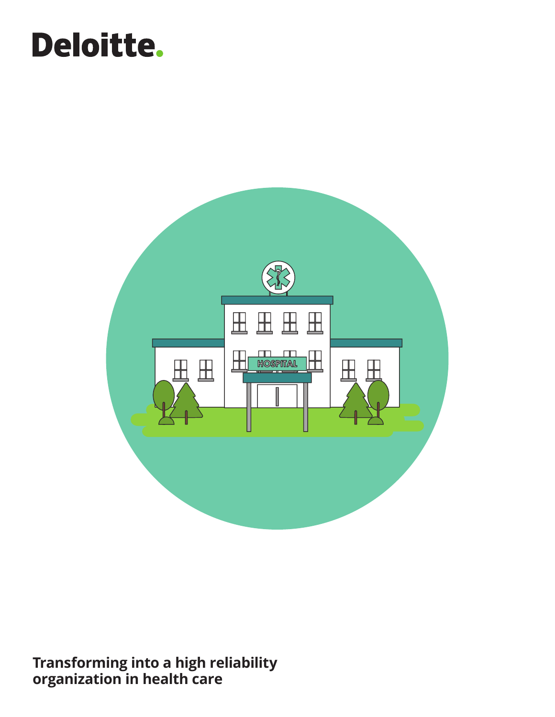# Deloitte.



**Transforming into a high reliability organization in health care**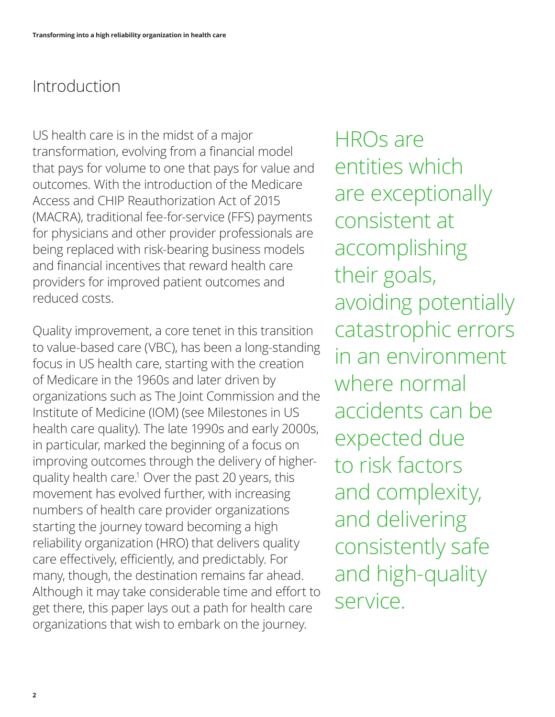### Introduction

US health care is in the midst of a major transformation, evolving from a financial model that pays for volume to one that pays for value and outcomes. With the introduction of the Medicare Access and CHIP Reauthorization Act of 2015 (MACRA), traditional fee-for-service (FFS) payments for physicians and other provider professionals are being replaced with risk-bearing business models and financial incentives that reward health care providers for improved patient outcomes and reduced costs.

Quality improvement, a core tenet in this transition to value-based care (VBC), has been a long-standing focus in US health care, starting with the creation of Medicare in the 1960s and later driven by organizations such as The Joint Commission and the Institute of Medicine (IOM) (see Milestones in US health care quality). The late 1990s and early 2000s, in particular, marked the beginning of a focus on improving outcomes through the delivery of higherquality health care.1 Over the past 20 years, this movement has evolved further, with increasing numbers of health care provider organizations starting the journey toward becoming a high reliability organization (HRO) that delivers quality care effectively, efficiently, and predictably. For many, though, the destination remains far ahead. Although it may take considerable time and effort to get there, this paper lays out a path for health care organizations that wish to embark on the journey.

HROs are entities which are exceptionally consistent at accomplishing their goals, avoiding potentially catastrophic errors in an environment where normal accidents can be expected due to risk factors and complexity, and delivering consistently safe and high-quality service.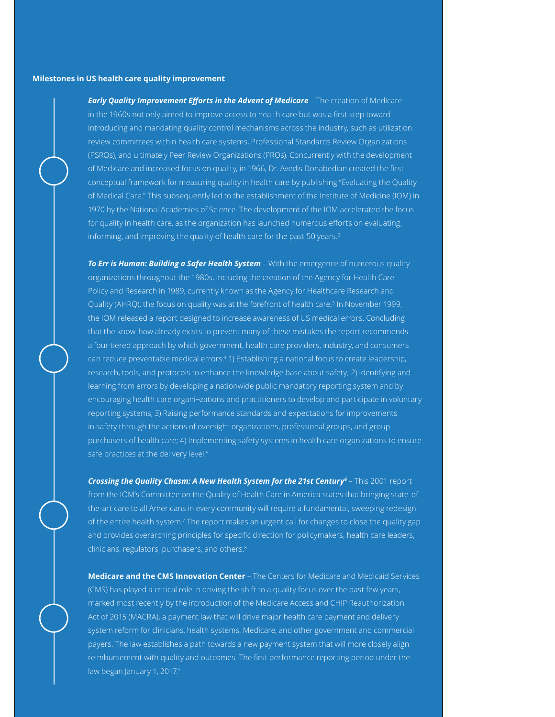#### **Milestones in US health care quality improvement**

*Early Quality Improvement Efforts in the Advent of Medicare - The creation of Medicare* in the 1960s not only aimed to improve access to health care but was a first step toward introducing and mandating quality control mechanisms across the industry, such as utilization review committees within health care systems, Professional Standards Review Organizations (PSROs), and ultimately Peer Review Organizations (PROs). Concurrently with the development of Medicare and increased focus on quality, in 1966, Dr. Avedis Donabedian created the first conceptual framework for measuring quality in health care by publishing "Evaluating the Quality of Medical Care." This subsequently led to the establishment of the Institute of Medicine (IOM) in 1970 by the National Academies of Science. The development of the IOM accelerated the focus for quality in health care, as the organization has launched numerous efforts on evaluating, informing, and improving the quality of health care for the past 50 years.<sup>2</sup>

*To Err is Human: Building a Safer Health System* – With the emergence of numerous quality organizations throughout the 1980s, including the creation of the Agency for Health Care Policy and Research in 1989, currently known as the Agency for Healthcare Research and Quality (AHRQ), the focus on quality was at the forefront of health care.3 In November 1999, the IOM released a report designed to increase awareness of US medical errors. Concluding that the know-how already exists to prevent many of these mistakes the report recommends a four-tiered approach by which government, health care providers, industry, and consumers can reduce preventable medical errors:4 1) Establishing a national focus to create leadership, research, tools, and protocols to enhance the knowledge base about safety; 2) Identifying and learning from errors by developing a nationwide public mandatory reporting system and by encouraging health care organi¬zations and practitioners to develop and participate in voluntary reporting systems; 3) Raising performance standards and expectations for improvements in safety through the actions of oversight organizations, professional groups, and group purchasers of health care; 4) Implementing safety systems in health care organizations to ensure safe practices at the delivery level.<sup>5</sup>

*Crossing the Quality Chasm: A New Health System for the 21st Century<sup>6</sup>* – This 2001 report from the IOM's Committee on the Quality of Health Care in America states that bringing state-ofthe-art care to all Americans in every community will require a fundamental, sweeping redesign of the entire health system.<sup>7</sup> The report makes an urgent call for changes to close the quality gap and provides overarching principles for specific direction for policymakers, health care leaders, clinicians, regulators, purchasers, and others.8

**Medicare and the CMS Innovation Center** – The Centers for Medicare and Medicaid Services (CMS) has played a critical role in driving the shift to a quality focus over the past few years, marked most recently by the introduction of the Medicare Access and CHIP Reauthorization Act of 2015 (MACRA), a payment law that will drive major health care payment and delivery system reform for clinicians, health systems, Medicare, and other government and commercial payers. The law establishes a path towards a new payment system that will more closely align reimbursement with quality and outcomes. The first performance reporting period under the law began January 1, 2017.9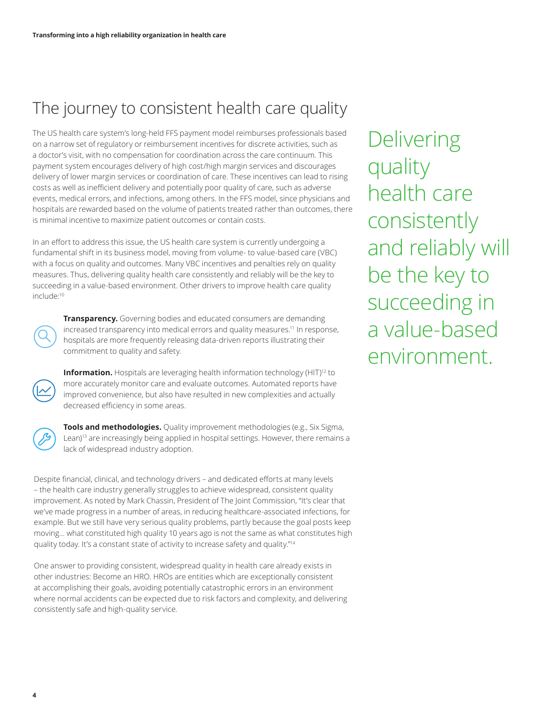### The journey to consistent health care quality

The US health care system's long-held FFS payment model reimburses professionals based on a narrow set of regulatory or reimbursement incentives for discrete activities, such as a doctor's visit, with no compensation for coordination across the care continuum. This payment system encourages delivery of high cost/high margin services and discourages delivery of lower margin services or coordination of care. These incentives can lead to rising costs as well as inefficient delivery and potentially poor quality of care, such as adverse events, medical errors, and infections, among others. In the FFS model, since physicians and hospitals are rewarded based on the volume of patients treated rather than outcomes, there is minimal incentive to maximize patient outcomes or contain costs.

In an effort to address this issue, the US health care system is currently undergoing a fundamental shift in its business model, moving from volume- to value-based care (VBC) with a focus on quality and outcomes. Many VBC incentives and penalties rely on quality measures. Thus, delivering quality health care consistently and reliably will be the key to succeeding in a value-based environment. Other drivers to improve health care quality include:10

**Transparency.** Governing bodies and educated consumers are demanding increased transparency into medical errors and quality measures.<sup>11</sup> In response, hospitals are more frequently releasing data-driven reports illustrating their commitment to quality and safety.

**Information.** Hospitals are leveraging health information technology (HIT)<sup>12</sup> to more accurately monitor care and evaluate outcomes. Automated reports have improved convenience, but also have resulted in new complexities and actually decreased efficiency in some areas.



**Tools and methodologies.** Quality improvement methodologies (e.g., Six Sigma, Lean)<sup>13</sup> are increasingly being applied in hospital settings. However, there remains a lack of widespread industry adoption.

Despite financial, clinical, and technology drivers – and dedicated efforts at many levels – the health care industry generally struggles to achieve widespread, consistent quality improvement. As noted by Mark Chassin, President of The Joint Commission, "It's clear that we've made progress in a number of areas, in reducing healthcare-associated infections, for example. But we still have very serious quality problems, partly because the goal posts keep moving… what constituted high quality 10 years ago is not the same as what constitutes high quality today. It's a constant state of activity to increase safety and quality."<sup>14</sup>

One answer to providing consistent, widespread quality in health care already exists in other industries: Become an HRO. HROs are entities which are exceptionally consistent at accomplishing their goals, avoiding potentially catastrophic errors in an environment where normal accidents can be expected due to risk factors and complexity, and delivering consistently safe and high-quality service.

Delivering quality health care consistently and reliably will be the key to succeeding in a value-based environment.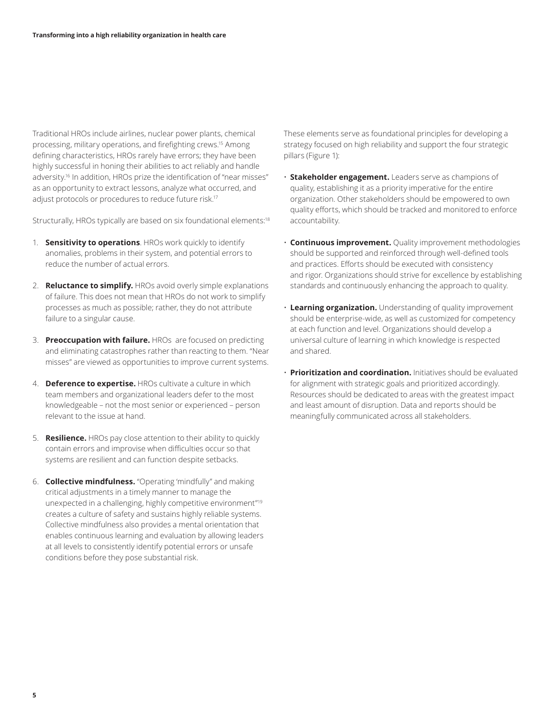Traditional HROs include airlines, nuclear power plants, chemical processing, military operations, and firefighting crews.15 Among defining characteristics, HROs rarely have errors; they have been highly successful in honing their abilities to act reliably and handle adversity.<sup>16</sup> In addition, HROs prize the identification of "near misses" as an opportunity to extract lessons, analyze what occurred, and adjust protocols or procedures to reduce future risk.<sup>17</sup>

Structurally, HROs typically are based on six foundational elements:<sup>18</sup>

- 1. **Sensitivity to operations**. HROs work quickly to identify anomalies, problems in their system, and potential errors to reduce the number of actual errors.
- 2. **Reluctance to simplify.** HROs avoid overly simple explanations of failure. This does not mean that HROs do not work to simplify processes as much as possible; rather, they do not attribute failure to a singular cause.
- 3. **Preoccupation with failure.** HROs are focused on predicting and eliminating catastrophes rather than reacting to them. "Near misses" are viewed as opportunities to improve current systems.
- 4. **Deference to expertise.** HROs cultivate a culture in which team members and organizational leaders defer to the most knowledgeable – not the most senior or experienced – person relevant to the issue at hand.
- 5. **Resilience.** HROs pay close attention to their ability to quickly contain errors and improvise when difficulties occur so that systems are resilient and can function despite setbacks.
- 6. **Collective mindfulness.** "Operating 'mindfully" and making critical adjustments in a timely manner to manage the unexpected in a challenging, highly competitive environment"19 creates a culture of safety and sustains highly reliable systems. Collective mindfulness also provides a mental orientation that enables continuous learning and evaluation by allowing leaders at all levels to consistently identify potential errors or unsafe conditions before they pose substantial risk.

These elements serve as foundational principles for developing a strategy focused on high reliability and support the four strategic pillars (Figure 1):

- **Stakeholder engagement.** Leaders serve as champions of quality, establishing it as a priority imperative for the entire organization. Other stakeholders should be empowered to own quality efforts, which should be tracked and monitored to enforce accountability.
- **Continuous improvement.** Quality improvement methodologies should be supported and reinforced through well-defined tools and practices. Efforts should be executed with consistency and rigor. Organizations should strive for excellence by establishing standards and continuously enhancing the approach to quality.
- **Learning organization.** Understanding of quality improvement should be enterprise-wide, as well as customized for competency at each function and level. Organizations should develop a universal culture of learning in which knowledge is respected and shared.
- **Prioritization and coordination.** Initiatives should be evaluated for alignment with strategic goals and prioritized accordingly. Resources should be dedicated to areas with the greatest impact and least amount of disruption. Data and reports should be meaningfully communicated across all stakeholders.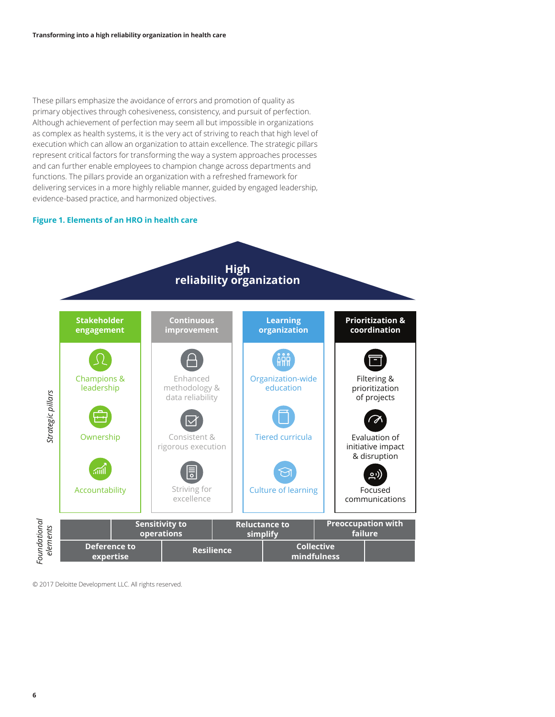These pillars emphasize the avoidance of errors and promotion of quality as primary objectives through cohesiveness, consistency, and pursuit of perfection. Although achievement of perfection may seem all but impossible in organizations as complex as health systems, it is the very act of striving to reach that high level of execution which can allow an organization to attain excellence. The strategic pillars represent critical factors for transforming the way a system approaches processes and can further enable employees to champion change across departments and functions. The pillars provide an organization with a refreshed framework for delivering services in a more highly reliable manner, guided by engaged leadership, evidence-based practice, and harmonized objectives.

#### **Figure 1. Elements of an HRO in health care**



© 2017 Deloitte Development LLC. All rights reserved.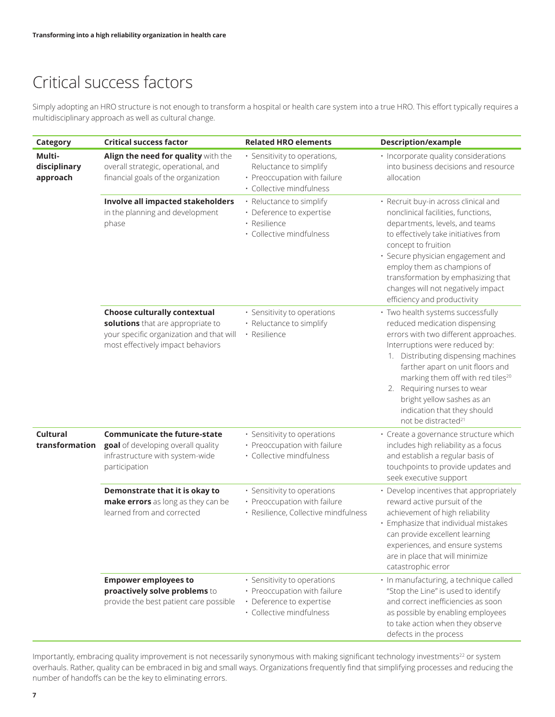### Critical success factors

Simply adopting an HRO structure is not enough to transform a hospital or health care system into a true HRO. This effort typically requires a multidisciplinary approach as well as cultural change.

| Category                           | <b>Critical success factor</b>                                                                                                                            | <b>Related HRO elements</b>                                                                                         | <b>Description/example</b>                                                                                                                                                                                                                                                                                                                                                                               |
|------------------------------------|-----------------------------------------------------------------------------------------------------------------------------------------------------------|---------------------------------------------------------------------------------------------------------------------|----------------------------------------------------------------------------------------------------------------------------------------------------------------------------------------------------------------------------------------------------------------------------------------------------------------------------------------------------------------------------------------------------------|
| Multi-<br>disciplinary<br>approach | Align the need for quality with the<br>overall strategic, operational, and<br>financial goals of the organization                                         | · Sensitivity to operations,<br>Reluctance to simplify<br>· Preoccupation with failure<br>· Collective mindfulness  | · Incorporate quality considerations<br>into business decisions and resource<br>allocation                                                                                                                                                                                                                                                                                                               |
|                                    | Involve all impacted stakeholders<br>in the planning and development<br>phase                                                                             | • Reluctance to simplify<br>· Deference to expertise<br>· Resilience<br>· Collective mindfulness                    | · Recruit buy-in across clinical and<br>nonclinical facilities, functions,<br>departments, levels, and teams<br>to effectively take initiatives from<br>concept to fruition<br>· Secure physician engagement and<br>employ them as champions of<br>transformation by emphasizing that<br>changes will not negatively impact<br>efficiency and productivity                                               |
|                                    | <b>Choose culturally contextual</b><br>solutions that are appropriate to<br>your specific organization and that will<br>most effectively impact behaviors | · Sensitivity to operations<br>• Reluctance to simplify<br>· Resilience                                             | · Two health systems successfully<br>reduced medication dispensing<br>errors with two different approaches.<br>Interruptions were reduced by:<br>1. Distributing dispensing machines<br>farther apart on unit floors and<br>marking them off with red tiles <sup>20</sup><br>2. Requiring nurses to wear<br>bright yellow sashes as an<br>indication that they should<br>not be distracted <sup>21</sup> |
| <b>Cultural</b><br>transformation  | <b>Communicate the future-state</b><br>goal of developing overall quality<br>infrastructure with system-wide<br>participation                             | · Sensitivity to operations<br>· Preoccupation with failure<br>· Collective mindfulness                             | · Create a governance structure which<br>includes high reliability as a focus<br>and establish a regular basis of<br>touchpoints to provide updates and<br>seek executive support                                                                                                                                                                                                                        |
|                                    | Demonstrate that it is okay to<br>make errors as long as they can be<br>learned from and corrected                                                        | · Sensitivity to operations<br>· Preoccupation with failure<br>· Resilience, Collective mindfulness                 | • Develop incentives that appropriately<br>reward active pursuit of the<br>achievement of high reliability<br>· Emphasize that individual mistakes<br>can provide excellent learning<br>experiences, and ensure systems<br>are in place that will minimize<br>catastrophic error                                                                                                                         |
|                                    | <b>Empower employees to</b><br>proactively solve problems to<br>provide the best patient care possible                                                    | · Sensitivity to operations<br>· Preoccupation with failure<br>· Deference to expertise<br>· Collective mindfulness | · In manufacturing, a technique called<br>"Stop the Line" is used to identify<br>and correct inefficiencies as soon<br>as possible by enabling employees<br>to take action when they observe<br>defects in the process                                                                                                                                                                                   |

Importantly, embracing quality improvement is not necessarily synonymous with making significant technology investments<sup>22</sup> or system overhauls. Rather, quality can be embraced in big and small ways. Organizations frequently find that simplifying processes and reducing the number of handoffs can be the key to eliminating errors.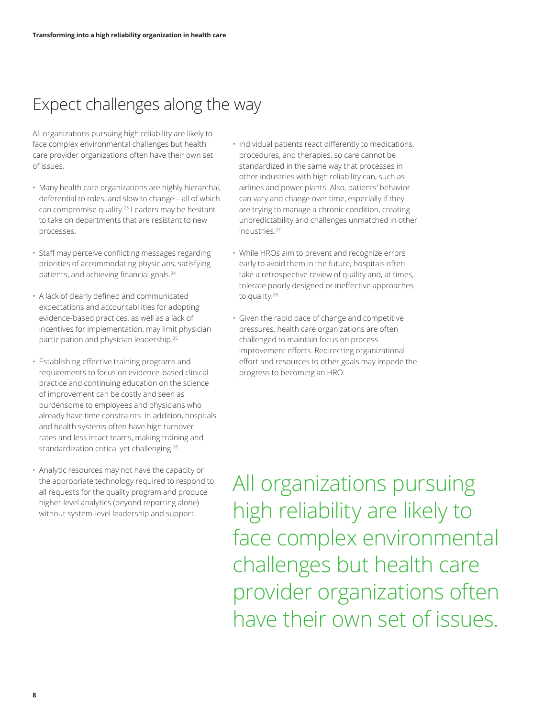### Expect challenges along the way

All organizations pursuing high reliability are likely to face complex environmental challenges but health care provider organizations often have their own set of issues.

- Many health care organizations are highly hierarchal, deferential to roles, and slow to change – all of which can compromise quality.23 Leaders may be hesitant to take on departments that are resistant to new processes.
- Staff may perceive conflicting messages regarding priorities of accommodating physicians, satisfying patients, and achieving financial goals.<sup>24</sup>
- A lack of clearly defined and communicated expectations and accountabilities for adopting evidence-based practices, as well as a lack of incentives for implementation, may limit physician participation and physician leadership.25
- Establishing effective training programs and requirements to focus on evidence-based clinical practice and continuing education on the science of improvement can be costly and seen as burdensome to employees and physicians who already have time constraints. In addition, hospitals and health systems often have high turnover rates and less intact teams, making training and standardization critical yet challenging.26
- Analytic resources may not have the capacity or the appropriate technology required to respond to all requests for the quality program and produce higher-level analytics (beyond reporting alone) without system-level leadership and support.
- Individual patients react differently to medications, procedures, and therapies, so care cannot be standardized in the same way that processes in other industries with high reliability can, such as airlines and power plants. Also, patients' behavior can vary and change over time, especially if they are trying to manage a chronic condition, creating unpredictability and challenges unmatched in other industries.27
- While HROs aim to prevent and recognize errors early to avoid them in the future, hospitals often take a retrospective review of quality and, at times, tolerate poorly designed or ineffective approaches to quality.28
- Given the rapid pace of change and competitive pressures, health care organizations are often challenged to maintain focus on process improvement efforts. Redirecting organizational effort and resources to other goals may impede the progress to becoming an HRO.

All organizations pursuing high reliability are likely to face complex environmental challenges but health care provider organizations often have their own set of issues.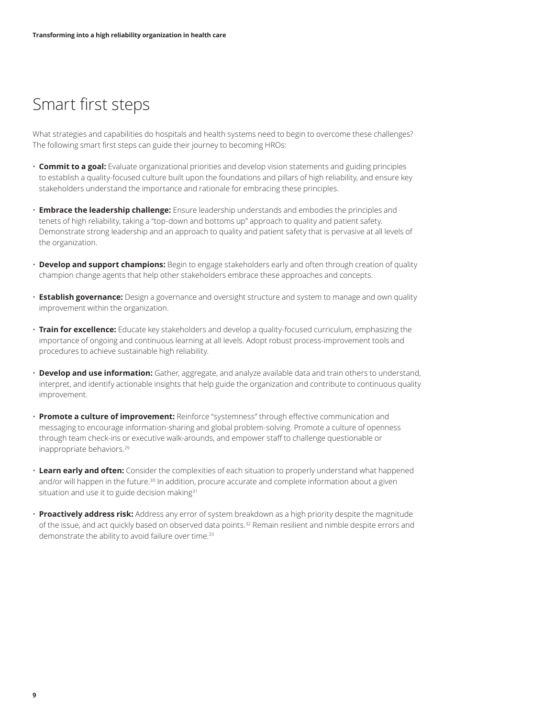#### Smart first steps

What strategies and capabilities do hospitals and health systems need to begin to overcome these challenges? The following smart first steps can guide their journey to becoming HROs:

- **Commit to a goal:** Evaluate organizational priorities and develop vision statements and guiding principles to establish a quality-focused culture built upon the foundations and pillars of high reliability, and ensure key stakeholders understand the importance and rationale for embracing these principles.
- **Embrace the leadership challenge:** Ensure leadership understands and embodies the principles and tenets of high reliability, taking a "top-down and bottoms up" approach to quality and patient safety. Demonstrate strong leadership and an approach to quality and patient safety that is pervasive at all levels of the organization.
- **Develop and support champions:** Begin to engage stakeholders early and often through creation of quality champion change agents that help other stakeholders embrace these approaches and concepts.
- **Establish governance:** Design a governance and oversight structure and system to manage and own quality improvement within the organization.
- **Train for excellence:** Educate key stakeholders and develop a quality-focused curriculum, emphasizing the importance of ongoing and continuous learning at all levels. Adopt robust process-improvement tools and procedures to achieve sustainable high reliability.
- **Develop and use information:** Gather, aggregate, and analyze available data and train others to understand, interpret, and identify actionable insights that help guide the organization and contribute to continuous quality improvement.
- **Promote a culture of improvement:** Reinforce "systemness" through effective communication and messaging to encourage information-sharing and global problem-solving. Promote a culture of openness through team check-ins or executive walk-arounds, and empower staff to challenge questionable or inappropriate behaviors.29
- **Learn early and often:** Consider the complexities of each situation to properly understand what happened and/or will happen in the future.<sup>30</sup> In addition, procure accurate and complete information about a given situation and use it to guide decision making<sup>31</sup>
- **Proactively address risk:** Address any error of system breakdown as a high priority despite the magnitude of the issue, and act quickly based on observed data points.<sup>32</sup> Remain resilient and nimble despite errors and demonstrate the ability to avoid failure over time.<sup>33</sup>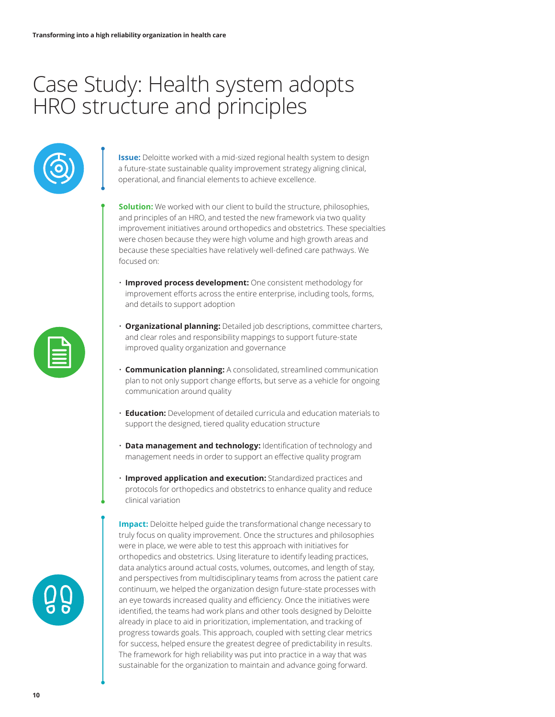## Case Study: Health system adopts HRO structure and principles



**Issue:** Deloitte worked with a mid-sized regional health system to design a future-state sustainable quality improvement strategy aligning clinical, operational, and financial elements to achieve excellence.

- **Solution:** We worked with our client to build the structure, philosophies, and principles of an HRO, and tested the new framework via two quality improvement initiatives around orthopedics and obstetrics. These specialties were chosen because they were high volume and high growth areas and because these specialties have relatively well-defined care pathways. We focused on:
- **Improved process development:** One consistent methodology for improvement efforts across the entire enterprise, including tools, forms, and details to support adoption
- **Organizational planning:** Detailed job descriptions, committee charters, and clear roles and responsibility mappings to support future-state improved quality organization and governance
- **Communication planning:** A consolidated, streamlined communication plan to not only support change efforts, but serve as a vehicle for ongoing communication around quality
- **Education:** Development of detailed curricula and education materials to support the designed, tiered quality education structure
- **Data management and technology:** Identification of technology and management needs in order to support an effective quality program
- **Improved application and execution:** Standardized practices and protocols for orthopedics and obstetrics to enhance quality and reduce clinical variation

**Impact:** Deloitte helped guide the transformational change necessary to truly focus on quality improvement. Once the structures and philosophies were in place, we were able to test this approach with initiatives for orthopedics and obstetrics. Using literature to identify leading practices, data analytics around actual costs, volumes, outcomes, and length of stay, and perspectives from multidisciplinary teams from across the patient care continuum, we helped the organization design future-state processes with an eye towards increased quality and efficiency. Once the initiatives were identified, the teams had work plans and other tools designed by Deloitte already in place to aid in prioritization, implementation, and tracking of progress towards goals. This approach, coupled with setting clear metrics for success, helped ensure the greatest degree of predictability in results. The framework for high reliability was put into practice in a way that was sustainable for the organization to maintain and advance going forward.



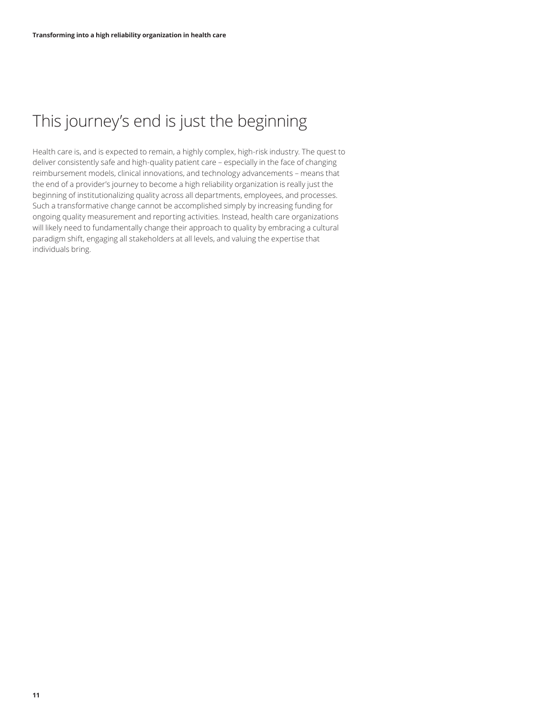### This journey's end is just the beginning

Health care is, and is expected to remain, a highly complex, high-risk industry. The quest to deliver consistently safe and high-quality patient care – especially in the face of changing reimbursement models, clinical innovations, and technology advancements – means that the end of a provider's journey to become a high reliability organization is really just the beginning of institutionalizing quality across all departments, employees, and processes. Such a transformative change cannot be accomplished simply by increasing funding for ongoing quality measurement and reporting activities. Instead, health care organizations will likely need to fundamentally change their approach to quality by embracing a cultural paradigm shift, engaging all stakeholders at all levels, and valuing the expertise that individuals bring.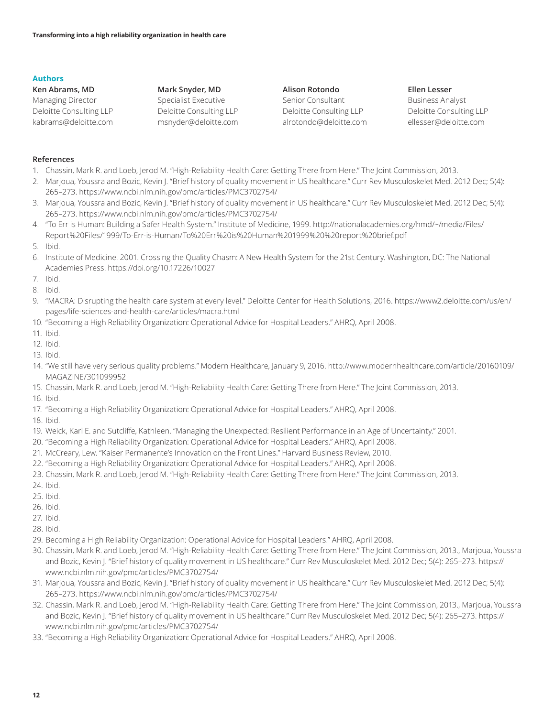#### **Authors**

**Ken Abrams, MD** Managing Director Deloitte Consulting LLP kabrams@deloitte.com **Mark Snyder, MD**  Specialist Executive Deloitte Consulting LLP msnyder@deloitte.com **Alison Rotondo** Senior Consultant Deloitte Consulting LLP alrotondo@deloitte.com **Ellen Lesser**

Business Analyst Deloitte Consulting LLP ellesser@deloitte.com

#### **References**

- 1. Chassin, Mark R. and Loeb, Jerod M. "High-Reliability Health Care: Getting There from Here." The Joint Commission, 2013.
- 2. Marjoua, Youssra and Bozic, Kevin J. "Brief history of quality movement in US healthcare." Curr Rev Musculoskelet Med. 2012 Dec; 5(4): 265–273. https://www.ncbi.nlm.nih.gov/pmc/articles/PMC3702754/
- 3. Marjoua, Youssra and Bozic, Kevin J. "Brief history of quality movement in US healthcare." Curr Rev Musculoskelet Med. 2012 Dec; 5(4): 265–273. https://www.ncbi.nlm.nih.gov/pmc/articles/PMC3702754/
- 4. "To Err is Human: Building a Safer Health System." Institute of Medicine, 1999. http://nationalacademies.org/hmd/~/media/Files/ Report%20Files/1999/To-Err-is-Human/To%20Err%20is%20Human%201999%20%20report%20brief.pdf
- 5. Ibid.
- 6. Institute of Medicine. 2001. Crossing the Quality Chasm: A New Health System for the 21st Century. Washington, DC: The National Academies Press. https://doi.org/10.17226/10027
- 7. Ibid.
- 8. Ibid.
- 9. "MACRA: Disrupting the health care system at every level." Deloitte Center for Health Solutions, 2016. https://www2.deloitte.com/us/en/ pages/life-sciences-and-health-care/articles/macra.html
- 10. "Becoming a High Reliability Organization: Operational Advice for Hospital Leaders." AHRQ, April 2008.
- 11. Ibid.
- 12. Ibid.
- 13. Ibid.
- 14. "We still have very serious quality problems." Modern Healthcare, January 9, 2016. http://www.modernhealthcare.com/article/20160109/ MAGAZINE/301099952
- 15. Chassin, Mark R. and Loeb, Jerod M. "High-Reliability Health Care: Getting There from Here." The Joint Commission, 2013.
- 16. Ibid.
- 17. "Becoming a High Reliability Organization: Operational Advice for Hospital Leaders." AHRQ, April 2008.
- 18. Ibid.
- 19. Weick, Karl E. and Sutcliffe, Kathleen. "Managing the Unexpected: Resilient Performance in an Age of Uncertainty." 2001.
- 20. "Becoming a High Reliability Organization: Operational Advice for Hospital Leaders." AHRQ, April 2008.
- 21. McCreary, Lew. "Kaiser Permanente's Innovation on the Front Lines." Harvard Business Review, 2010.
- 22. "Becoming a High Reliability Organization: Operational Advice for Hospital Leaders." AHRQ, April 2008.
- 23. Chassin, Mark R. and Loeb, Jerod M. "High-Reliability Health Care: Getting There from Here." The Joint Commission, 2013.
- 24. Ibid.
- 25. Ibid.
- 26. Ibid.
- 27. Ibid.
- 28. Ibid.
- 29. Becoming a High Reliability Organization: Operational Advice for Hospital Leaders." AHRQ, April 2008.
- 30. Chassin, Mark R. and Loeb, Jerod M. "High-Reliability Health Care: Getting There from Here." The Joint Commission, 2013., Marjoua, Youssra and Bozic, Kevin J. "Brief history of quality movement in US healthcare." Curr Rev Musculoskelet Med. 2012 Dec; 5(4): 265–273. https:// www.ncbi.nlm.nih.gov/pmc/articles/PMC3702754/
- 31. Marjoua, Youssra and Bozic, Kevin J. "Brief history of quality movement in US healthcare." Curr Rev Musculoskelet Med. 2012 Dec; 5(4): 265–273. https://www.ncbi.nlm.nih.gov/pmc/articles/PMC3702754/
- 32. Chassin, Mark R. and Loeb, Jerod M. "High-Reliability Health Care: Getting There from Here." The Joint Commission, 2013., Marjoua, Youssra and Bozic, Kevin J. "Brief history of quality movement in US healthcare." Curr Rev Musculoskelet Med. 2012 Dec; 5(4): 265–273. https:// www.ncbi.nlm.nih.gov/pmc/articles/PMC3702754/
- 33. "Becoming a High Reliability Organization: Operational Advice for Hospital Leaders." AHRQ, April 2008.